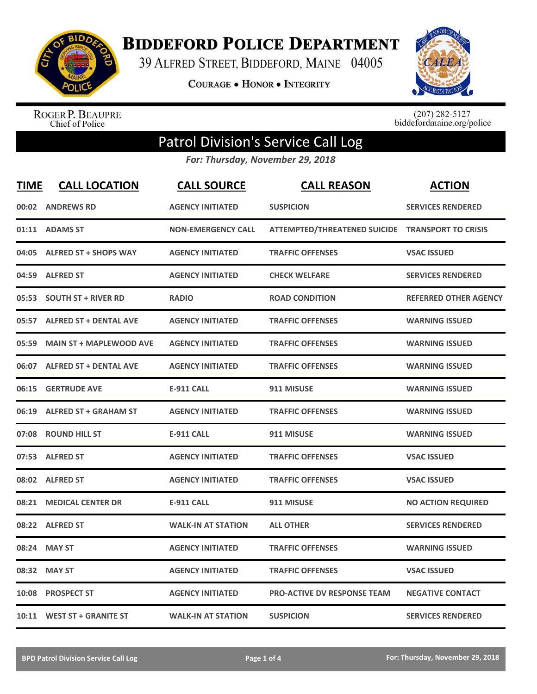

**BIDDEFORD POLICE DEPARTMENT** 

39 ALFRED STREET, BIDDEFORD, MAINE 04005

**COURAGE . HONOR . INTEGRITY** 



ROGER P. BEAUPRE<br>Chief of Police

 $(207)$  282-5127<br>biddefordmaine.org/police

## Patrol Division's Service Call Log

*For: Thursday, November 29, 2018*

| <b>TIME</b> | <b>CALL LOCATION</b>           | <b>CALL SOURCE</b>        | <b>CALL REASON</b>                               | <b>ACTION</b>                |
|-------------|--------------------------------|---------------------------|--------------------------------------------------|------------------------------|
|             | 00:02 ANDREWS RD               | <b>AGENCY INITIATED</b>   | <b>SUSPICION</b>                                 | <b>SERVICES RENDERED</b>     |
|             | 01:11 ADAMS ST                 | <b>NON-EMERGENCY CALL</b> | ATTEMPTED/THREATENED SUICIDE TRANSPORT TO CRISIS |                              |
| 04:05       | <b>ALFRED ST + SHOPS WAY</b>   | <b>AGENCY INITIATED</b>   | <b>TRAFFIC OFFENSES</b>                          | <b>VSAC ISSUED</b>           |
| 04:59       | <b>ALFRED ST</b>               | <b>AGENCY INITIATED</b>   | <b>CHECK WELFARE</b>                             | <b>SERVICES RENDERED</b>     |
| 05:53       | <b>SOUTH ST + RIVER RD</b>     | <b>RADIO</b>              | <b>ROAD CONDITION</b>                            | <b>REFERRED OTHER AGENCY</b> |
|             | 05:57 ALFRED ST + DENTAL AVE   | <b>AGENCY INITIATED</b>   | <b>TRAFFIC OFFENSES</b>                          | <b>WARNING ISSUED</b>        |
| 05:59       | <b>MAIN ST + MAPLEWOOD AVE</b> | <b>AGENCY INITIATED</b>   | <b>TRAFFIC OFFENSES</b>                          | <b>WARNING ISSUED</b>        |
|             | 06:07 ALFRED ST + DENTAL AVE   | <b>AGENCY INITIATED</b>   | <b>TRAFFIC OFFENSES</b>                          | <b>WARNING ISSUED</b>        |
| 06:15       | <b>GERTRUDE AVE</b>            | <b>E-911 CALL</b>         | 911 MISUSE                                       | <b>WARNING ISSUED</b>        |
| 06:19       | <b>ALFRED ST + GRAHAM ST</b>   | <b>AGENCY INITIATED</b>   | <b>TRAFFIC OFFENSES</b>                          | <b>WARNING ISSUED</b>        |
|             | 07:08 ROUND HILL ST            | <b>E-911 CALL</b>         | 911 MISUSE                                       | <b>WARNING ISSUED</b>        |
|             | 07:53 ALFRED ST                | <b>AGENCY INITIATED</b>   | <b>TRAFFIC OFFENSES</b>                          | <b>VSAC ISSUED</b>           |
|             | 08:02 ALFRED ST                | <b>AGENCY INITIATED</b>   | <b>TRAFFIC OFFENSES</b>                          | <b>VSAC ISSUED</b>           |
| 08:21       | <b>MEDICAL CENTER DR</b>       | <b>E-911 CALL</b>         | 911 MISUSE                                       | <b>NO ACTION REQUIRED</b>    |
| 08:22       | <b>ALFRED ST</b>               | <b>WALK-IN AT STATION</b> | <b>ALL OTHER</b>                                 | <b>SERVICES RENDERED</b>     |
| 08:24       | <b>MAY ST</b>                  | <b>AGENCY INITIATED</b>   | <b>TRAFFIC OFFENSES</b>                          | <b>WARNING ISSUED</b>        |
| 08:32       | <b>MAY ST</b>                  | <b>AGENCY INITIATED</b>   | <b>TRAFFIC OFFENSES</b>                          | <b>VSAC ISSUED</b>           |
| 10:08       | <b>PROSPECT ST</b>             | <b>AGENCY INITIATED</b>   | <b>PRO-ACTIVE DV RESPONSE TEAM</b>               | <b>NEGATIVE CONTACT</b>      |
|             | 10:11 WEST ST + GRANITE ST     | <b>WALK-IN AT STATION</b> | <b>SUSPICION</b>                                 | <b>SERVICES RENDERED</b>     |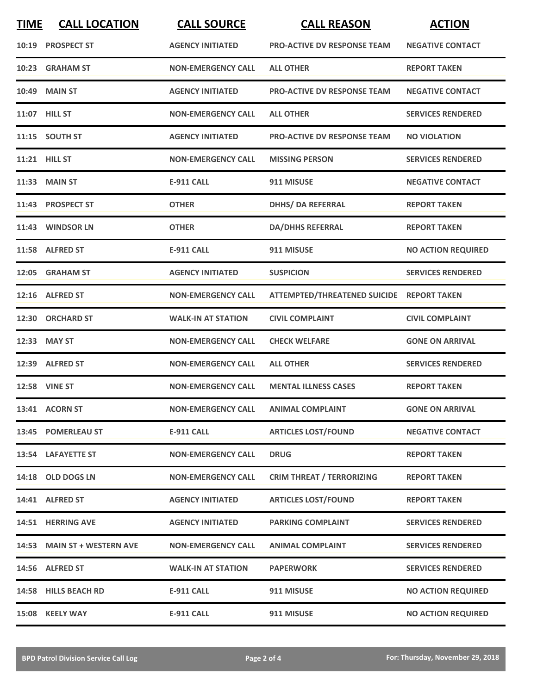| <b>TIME</b> | <b>CALL LOCATION</b>        | <b>CALL SOURCE</b>        | <b>CALL REASON</b>                        | <b>ACTION</b>             |
|-------------|-----------------------------|---------------------------|-------------------------------------------|---------------------------|
| 10:19       | <b>PROSPECT ST</b>          | <b>AGENCY INITIATED</b>   | PRO-ACTIVE DV RESPONSE TEAM               | <b>NEGATIVE CONTACT</b>   |
|             | 10:23 GRAHAM ST             | <b>NON-EMERGENCY CALL</b> | <b>ALL OTHER</b>                          | <b>REPORT TAKEN</b>       |
| 10:49       | <b>MAIN ST</b>              | <b>AGENCY INITIATED</b>   | <b>PRO-ACTIVE DV RESPONSE TEAM</b>        | <b>NEGATIVE CONTACT</b>   |
|             | 11:07 HILL ST               | <b>NON-EMERGENCY CALL</b> | <b>ALL OTHER</b>                          | <b>SERVICES RENDERED</b>  |
|             | 11:15 SOUTH ST              | <b>AGENCY INITIATED</b>   | <b>PRO-ACTIVE DV RESPONSE TEAM</b>        | <b>NO VIOLATION</b>       |
|             | 11:21 HILL ST               | <b>NON-EMERGENCY CALL</b> | <b>MISSING PERSON</b>                     | <b>SERVICES RENDERED</b>  |
|             | 11:33 MAIN ST               | <b>E-911 CALL</b>         | 911 MISUSE                                | <b>NEGATIVE CONTACT</b>   |
|             | 11:43 PROSPECT ST           | <b>OTHER</b>              | <b>DHHS/ DA REFERRAL</b>                  | <b>REPORT TAKEN</b>       |
|             | 11:43 WINDSOR LN            | <b>OTHER</b>              | <b>DA/DHHS REFERRAL</b>                   | <b>REPORT TAKEN</b>       |
|             | 11:58 ALFRED ST             | <b>E-911 CALL</b>         | 911 MISUSE                                | <b>NO ACTION REQUIRED</b> |
|             | 12:05 GRAHAM ST             | <b>AGENCY INITIATED</b>   | <b>SUSPICION</b>                          | <b>SERVICES RENDERED</b>  |
|             | 12:16 ALFRED ST             | <b>NON-EMERGENCY CALL</b> | ATTEMPTED/THREATENED SUICIDE REPORT TAKEN |                           |
| 12:30       | <b>ORCHARD ST</b>           | <b>WALK-IN AT STATION</b> | <b>CIVIL COMPLAINT</b>                    | <b>CIVIL COMPLAINT</b>    |
| 12:33       | <b>MAY ST</b>               | <b>NON-EMERGENCY CALL</b> | <b>CHECK WELFARE</b>                      | <b>GONE ON ARRIVAL</b>    |
|             | 12:39 ALFRED ST             | <b>NON-EMERGENCY CALL</b> | <b>ALL OTHER</b>                          | <b>SERVICES RENDERED</b>  |
|             | <b>12:58 VINE ST</b>        | <b>NON-EMERGENCY CALL</b> | <b>MENTAL ILLNESS CASES</b>               | <b>REPORT TAKEN</b>       |
|             | 13:41 ACORN ST              | <b>NON-EMERGENCY CALL</b> | <b>ANIMAL COMPLAINT</b>                   | <b>GONE ON ARRIVAL</b>    |
|             | 13:45 POMERLEAU ST          | <b>E-911 CALL</b>         | <b>ARTICLES LOST/FOUND</b>                | <b>NEGATIVE CONTACT</b>   |
|             | 13:54 LAFAYETTE ST          | <b>NON-EMERGENCY CALL</b> | <b>DRUG</b>                               | <b>REPORT TAKEN</b>       |
|             | 14:18 OLD DOGS LN           | <b>NON-EMERGENCY CALL</b> | <b>CRIM THREAT / TERRORIZING</b>          | <b>REPORT TAKEN</b>       |
|             | 14:41 ALFRED ST             | <b>AGENCY INITIATED</b>   | <b>ARTICLES LOST/FOUND</b>                | <b>REPORT TAKEN</b>       |
|             | 14:51 HERRING AVE           | <b>AGENCY INITIATED</b>   | <b>PARKING COMPLAINT</b>                  | <b>SERVICES RENDERED</b>  |
|             | 14:53 MAIN ST + WESTERN AVE | <b>NON-EMERGENCY CALL</b> | <b>ANIMAL COMPLAINT</b>                   | <b>SERVICES RENDERED</b>  |
|             | 14:56 ALFRED ST             | <b>WALK-IN AT STATION</b> | <b>PAPERWORK</b>                          | <b>SERVICES RENDERED</b>  |
|             | 14:58 HILLS BEACH RD        | <b>E-911 CALL</b>         | 911 MISUSE                                | <b>NO ACTION REQUIRED</b> |
|             | 15:08 KEELY WAY             | E-911 CALL                | 911 MISUSE                                | <b>NO ACTION REQUIRED</b> |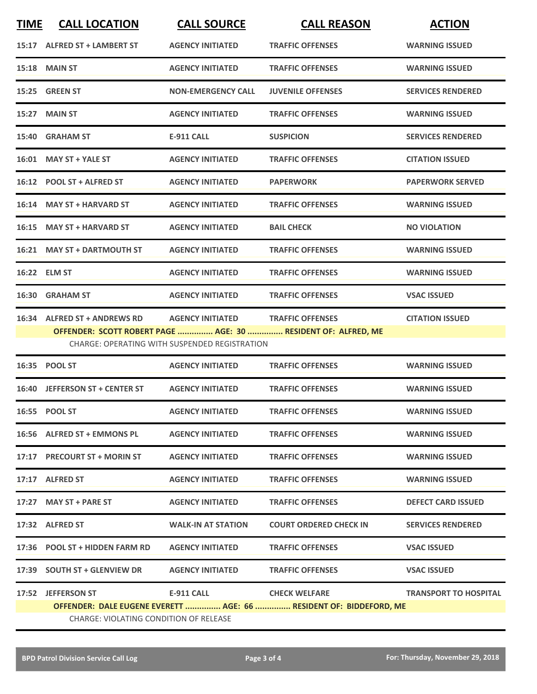| <b>TIME</b> | <b>CALL LOCATION</b>                                                                                                  | <b>CALL SOURCE</b>        | <b>CALL REASON</b>       | <b>ACTION</b>            |  |
|-------------|-----------------------------------------------------------------------------------------------------------------------|---------------------------|--------------------------|--------------------------|--|
|             | 15:17 ALFRED ST + LAMBERT ST                                                                                          | <b>AGENCY INITIATED</b>   | <b>TRAFFIC OFFENSES</b>  | <b>WARNING ISSUED</b>    |  |
|             | 15:18 MAIN ST                                                                                                         | <b>AGENCY INITIATED</b>   | <b>TRAFFIC OFFENSES</b>  | <b>WARNING ISSUED</b>    |  |
|             | 15:25 GREEN ST                                                                                                        | <b>NON-EMERGENCY CALL</b> | <b>JUVENILE OFFENSES</b> | <b>SERVICES RENDERED</b> |  |
|             | 15:27 MAIN ST                                                                                                         | <b>AGENCY INITIATED</b>   | <b>TRAFFIC OFFENSES</b>  | <b>WARNING ISSUED</b>    |  |
|             | 15:40 GRAHAM ST                                                                                                       | <b>E-911 CALL</b>         | <b>SUSPICION</b>         | <b>SERVICES RENDERED</b> |  |
|             | 16:01 MAY ST + YALE ST                                                                                                | <b>AGENCY INITIATED</b>   | <b>TRAFFIC OFFENSES</b>  | <b>CITATION ISSUED</b>   |  |
|             | 16:12 POOL ST + ALFRED ST                                                                                             | <b>AGENCY INITIATED</b>   | <b>PAPERWORK</b>         | <b>PAPERWORK SERVED</b>  |  |
|             | 16:14 MAY ST + HARVARD ST                                                                                             | <b>AGENCY INITIATED</b>   | <b>TRAFFIC OFFENSES</b>  | <b>WARNING ISSUED</b>    |  |
|             | 16:15 MAY ST + HARVARD ST                                                                                             | <b>AGENCY INITIATED</b>   | <b>BAIL CHECK</b>        | <b>NO VIOLATION</b>      |  |
|             | 16:21 MAY ST + DARTMOUTH ST                                                                                           | <b>AGENCY INITIATED</b>   | <b>TRAFFIC OFFENSES</b>  | <b>WARNING ISSUED</b>    |  |
|             | 16:22 ELM ST                                                                                                          | <b>AGENCY INITIATED</b>   | <b>TRAFFIC OFFENSES</b>  | <b>WARNING ISSUED</b>    |  |
|             | 16:30 GRAHAM ST                                                                                                       | <b>AGENCY INITIATED</b>   | <b>TRAFFIC OFFENSES</b>  | <b>VSAC ISSUED</b>       |  |
|             | 16:34 ALFRED ST + ANDREWS RD                                                                                          | <b>AGENCY INITIATED</b>   | <b>TRAFFIC OFFENSES</b>  | <b>CITATION ISSUED</b>   |  |
|             | OFFENDER: SCOTT ROBERT PAGE  AGE: 30  RESIDENT OF: ALFRED, ME<br><b>CHARGE: OPERATING WITH SUSPENDED REGISTRATION</b> |                           |                          |                          |  |

|       | 16:35 POOL ST                                                      | <b>AGENCY INITIATED</b>   | <b>TRAFFIC OFFENSES</b>       | <b>WARNING ISSUED</b>        |
|-------|--------------------------------------------------------------------|---------------------------|-------------------------------|------------------------------|
| 16:40 | <b>JEFFERSON ST + CENTER ST</b>                                    | <b>AGENCY INITIATED</b>   | <b>TRAFFIC OFFENSES</b>       | <b>WARNING ISSUED</b>        |
|       | 16:55 POOL ST                                                      | <b>AGENCY INITIATED</b>   | <b>TRAFFIC OFFENSES</b>       | <b>WARNING ISSUED</b>        |
|       | 16:56 ALFRED ST + EMMONS PL                                        | <b>AGENCY INITIATED</b>   | <b>TRAFFIC OFFENSES</b>       | <b>WARNING ISSUED</b>        |
| 17:17 | <b>PRECOURT ST + MORIN ST</b>                                      | <b>AGENCY INITIATED</b>   | <b>TRAFFIC OFFENSES</b>       | <b>WARNING ISSUED</b>        |
| 17:17 | <b>ALFRED ST</b>                                                   | <b>AGENCY INITIATED</b>   | <b>TRAFFIC OFFENSES</b>       | <b>WARNING ISSUED</b>        |
| 17:27 | <b>MAY ST + PARE ST</b>                                            | <b>AGENCY INITIATED</b>   | <b>TRAFFIC OFFENSES</b>       | <b>DEFECT CARD ISSUED</b>    |
| 17:32 | <b>ALFRED ST</b>                                                   | <b>WALK-IN AT STATION</b> | <b>COURT ORDERED CHECK IN</b> | <b>SERVICES RENDERED</b>     |
| 17:36 | <b>POOL ST + HIDDEN FARM RD</b>                                    | <b>AGENCY INITIATED</b>   | <b>TRAFFIC OFFENSES</b>       | <b>VSAC ISSUED</b>           |
| 17:39 | <b>SOUTH ST + GLENVIEW DR</b>                                      | <b>AGENCY INITIATED</b>   | <b>TRAFFIC OFFENSES</b>       | <b>VSAC ISSUED</b>           |
| 17:52 | <b>JEFFERSON ST</b>                                                | <b>E-911 CALL</b>         | <b>CHECK WELFARE</b>          | <b>TRANSPORT TO HOSPITAL</b> |
|       | OFFENDER: DALE EUGENE EVERETT  AGE: 66  RESIDENT OF: BIDDEFORD, ME |                           |                               |                              |
|       | CHARGE: VIOLATING CONDITION OF RELEASE                             |                           |                               |                              |